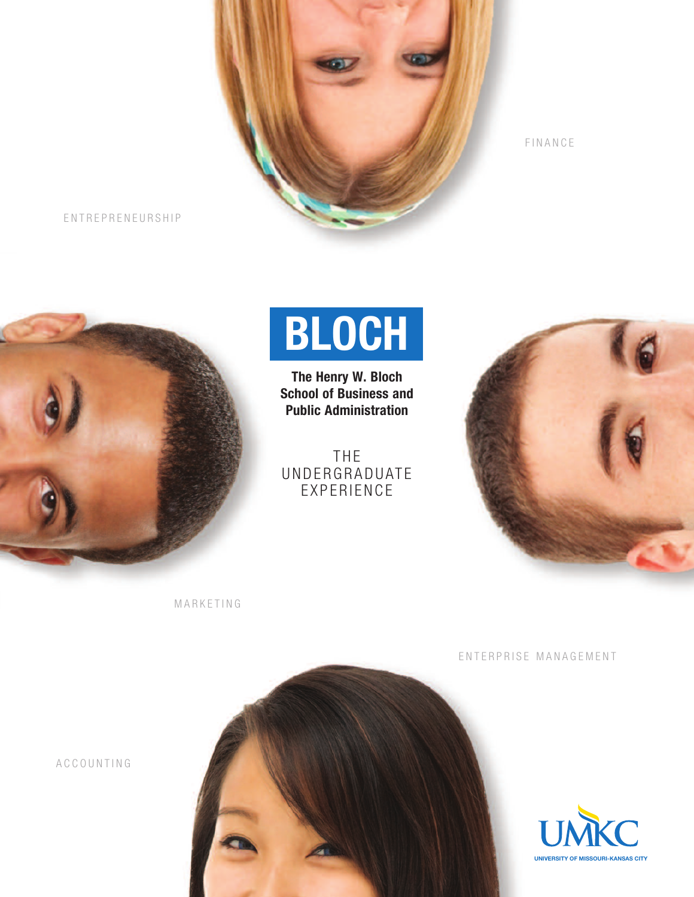

F I N A N C E

E N T R E P R E N E U R S H I P



## **BLOCH**

**The Henry W. Bloch School of Business and Public Administration**

THE UNDERGRADUATE EXPERIENCE



**MARKETING** 

ENTERPRISE MANAGEMENT



A C C O U N T I N G